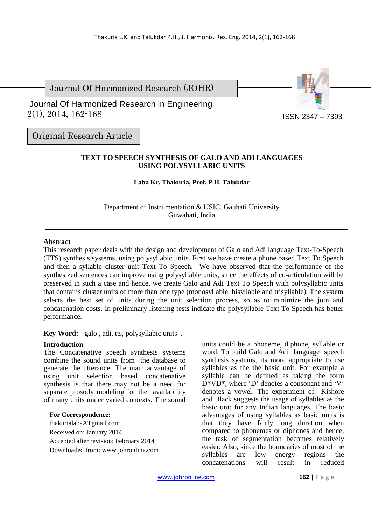Journal Of Harmonized Research (JOHR)

 2(1), 2014, 162-168 Journal Of Harmonized Research in Engineering



ISSN 2347 – 7393

Original Research Article

## **TEXT TO SPEECH SYNTHESIS OF GALO AND ADI LANGUAGES USING POLYSYLLABIC UNITS**

#### **Laba Kr. Thakuria, Prof. P.H. Talukdar**

Department of Instrumentation & USIC, Gauhati University Guwahati, India

#### **Abstract**

This research paper deals with the design and development of Galo and Adi language Text-To-Speech (TTS) synthesis systems, using polysyllabic units. First we have create a phone based Text To Speech and then a syllable cluster unit Text To Speech. We have observed that the performance of the synthesized sentences can improve using polysyllable units, since the effects of co-articulation will be preserved in such a case and hence, we create Galo and Adi Text To Speech with polysyllabic units that contains cluster units of more than one type (monosyllable, bisyllable and trisyllable). The system selects the best set of units during the unit selection process, so as to minimize the join and concatenation costs. In preliminary listening tests indicate the polysyllable Text To Speech has better performance.

**Key Word: -** galo , adi, tts, polysyllabic units .

# **Introduction**

The Concatenative speech synthesis systems combine the sound units from the database to generate the utterance. The main advantage of using unit selection based concatenative synthesis is that there may not be a need for separate prosody modeling for the availability of many units under varied contexts. The sound

**For Correspondence:**  thakurialabaATgmail.com Received on: January 2014 Accepted after revision: February 2014 Downloaded from: www.johronline.com units could be a phoneme, diphone, syllable or word. To build Galo and Adi language speech synthesis systems, its more appropriate to use syllables as the the basic unit. For example a syllable can be defined as taking the form D\*VD\*, where 'D' denotes a consonant and 'V' denotes a vowel. The experiment of Kishore and Black suggests the usage of syllables as the basic unit for any Indian languages. The basic advantages of using syllables as basic units is that they have fairly long duration when compared to phonemes or diphones and hence, the task of segmentation becomes relatively easier. Also, since the boundaries of most of the<br>svllables are low energy regions the syllables are low energy regions the concatenations will result in reduced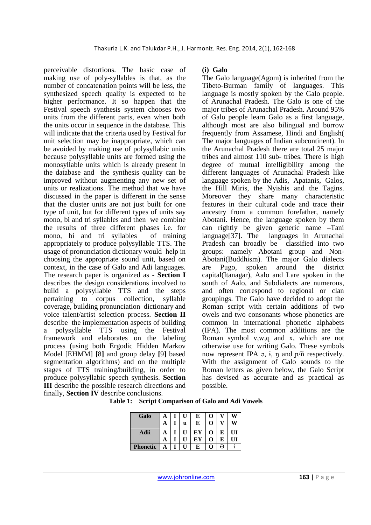perceivable distortions. The basic case of making use of poly-syllables is that, as the number of concatenation points will be less, the synthesized speech quality is expected to be higher performance. It so happen that the Festival speech synthesis system chooses two units from the different parts, even when both the units occur in sequence in the database. This will indicate that the criteria used by Festival for unit selection may be inappropriate, which can be avoided by making use of polysyllabic units because polysyllable units are formed using the monosyllable units which is already present in the database and the synthesis quality can be improved without augmenting any new set of units or realizations. The method that we have discussed in the paper is different in the sense that the cluster units are not just built for one type of unit, but for different types of units say mono, bi and tri syllables and then we combine the results of three different phases i.e. for mono, bi and tri syllables of training appropriately to produce polysyllable TTS. The usage of pronunciation dictionary would help in choosing the appropriate sound unit, based on context, in the case of Galo and Adi languages. The research paper is organized as - **Section I** describes the design considerations involved to build a polysyllable TTS and the steps pertaining to corpus collection, syllable coverage, building pronunciation dictionary and voice talent/artist selection process. **Section II** describe the implementation aspects of building a polysyllable TTS using the Festival framework and elaborates on the labeling process (using both Ergodic Hidden Markov Model [EHMM] **[**8**]** and group delay **[**9**]** based segmentation algorithms) and on the multiple stages of TTS training/building, in order to produce polysyllabic speech synthesis. **Section III** describe the possible research directions and finally, **Section IV** describe conclusions.

#### **(i) Galo**

The Galo language(Agom) is inherited from the Tibeto-Burman family of languages. This language is mostly spoken by the Galo people. of Arunachal Pradesh. The Galo is one of the major tribes of Arunachal Pradesh. Around 95% of Galo people learn Galo as a first language, although most are also bilingual and borrow frequently from Assamese, Hindi and English( The major languages of Indian subcontinent). In the Arunachal Pradesh there are total 25 major tribes and almost 110 sub- tribes. There is high degree of mutual intelligibility among the different languages of Arunachal Pradesh like language spoken by the Adis, Apatanis, Galos, the Hill Miris, the Nyishis and the Tagins. Moreover they share many characteristic features in their cultural code and trace their ancestry from a common forefather, namely Abotani. Hence, the language spoken by them can rightly be given generic name –Tani language[37]. The languages in Arunachal Pradesh can broadly be classified into two groups: namely Abotani group and Non-Abotani(Buddhism). The major Galo dialects are Pugo, spoken around the district capital(Itanagar), Aalo and Lare spoken in the south of Aalo, and Subdialects are numerous, and often correspond to regional or clan groupings. The Galo have decided to adopt the Roman script with certain additions of two owels and two consonants whose phonetics are common in international phonetic alphabets (IPA). The most common additions are the Roman symbol v,w,q and x, which are not otherwise use for writing Galo. These symbols now represent IPA ə, ɨ, ŋ and ɲ/ñ respectively. With the assignment of Galo sounds to the Roman letters as given below, the Galo Script has devised as accurate and as practical as possible.

|  | Table 1: Script Comparison of Galo and Adi Vowels |
|--|---------------------------------------------------|
|--|---------------------------------------------------|

| Galo     | А | U | E  | O           |   | W  |
|----------|---|---|----|-------------|---|----|
|          | A | u | E  | $\bf{0}$    |   | W  |
| Adii     |   |   | ЕY | $\mathbf 0$ | E | UI |
|          | A |   | EY | O           | E |    |
| Phonetic |   | Π | E  | O           | a |    |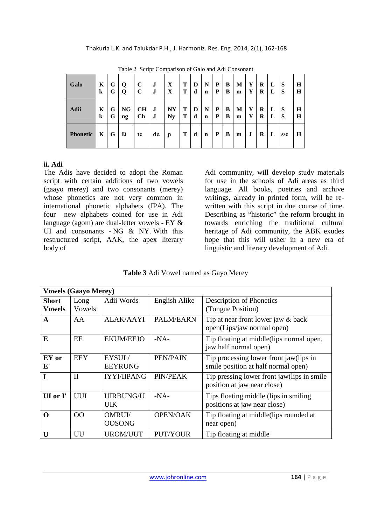| <b>Galo</b>     | K            | G | $\mathbf 0$            | C         | $\bf J$ | $\mathbf X$ | Т | D | N           | P | B | М | Y | R | L | <b>S</b> | Н |
|-----------------|--------------|---|------------------------|-----------|---------|-------------|---|---|-------------|---|---|---|---|---|---|----------|---|
|                 | $\bf k$      | G | Q                      | C         | J       | X           | Т | d | $\mathbf n$ | P | B | m | Y | R | L | S        | H |
| Adii            | K            | G | <b>NG</b>              | CH        | $\bf J$ | <b>NY</b>   | T | D | N           | P | B | М | Y | R | L | <b>S</b> | H |
|                 | k            | G | $\mathbf{n}\mathbf{g}$ | <b>Ch</b> | J       | <b>Ny</b>   | т | d | $\mathbf n$ | P | B | m | Y | R | L | S        | H |
| <b>Phonetic</b> | $\mathbf{K}$ | G | D                      | tc        | dz      | J           | Т | d | $\mathbf n$ | P | B | m | J | R | L | s/c      | Н |

Table 2 Script Comparison of Galo and Adi Consonant

# **ii. Adi**

The Adis have decided to adopt the Roman script with certain additions of two vowels (gaayo merey) and two consonants (merey) whose phonetics are not very common in international phonetic alphabets (IPA). The four new alphabets coined for use in Adi language (agom) are dual-letter vowels - EY & UI and consonants - NG & NY. With this restructured script, AAK, the apex literary body of

Adi community, will develop study materials for use in the schools of Adi areas as third language. All books, poetries and archive writings, already in printed form, will be rewritten with this script in due course of time. Describing as "historic" the reform brought in towards enriching the traditional cultural heritage of Adi community, the ABK exudes hope that this will usher in a new era of linguistic and literary development of Adi.

**Table 3** Adi Vowel named as Gayo Merey

| <b>Vowels (Gaayo Merey)</b>   |                |                                |                 |                                                                               |  |  |  |  |
|-------------------------------|----------------|--------------------------------|-----------------|-------------------------------------------------------------------------------|--|--|--|--|
| <b>Short</b><br><b>Vowels</b> | Long<br>Vowels | Adii Words                     | English Alike   | Description of Phonetics<br>(Tongue Position)                                 |  |  |  |  |
| A                             | AA             | <b>ALAK/AAYI</b>               | PALM/EARN       | Tip at near front lower jaw & back<br>open(Lips/jaw normal open)              |  |  |  |  |
| E                             | EE             | <b>EKUM/EEJO</b>               | $-NA-$          | Tip floating at middle(lips normal open,<br>jaw half normal open)             |  |  |  |  |
| EY or<br>${\bf E'}$           | <b>EEY</b>     | EYSUL/<br><b>EEYRUNG</b>       | PEN/PAIN        | Tip processing lower front jaw(lips in<br>smile position at half normal open) |  |  |  |  |
| $\mathbf I$                   | $\mathbf{I}$   | <b>IYYI/IIPANG</b>             | <b>PIN/PEAK</b> | Tip pressing lower front jaw(lips in smile<br>position at jaw near close)     |  |  |  |  |
| UI or I'                      | <b>UUI</b>     | <b>UIRBUNG/U</b><br>UIK        | $-NA-$          | Tips floating middle (lips in smiling)<br>positions at jaw near close)        |  |  |  |  |
| $\mathbf 0$                   | <b>OO</b>      | <b>OMRUI/</b><br><b>OOSONG</b> | <b>OPEN/OAK</b> | Tip floating at middle(lips rounded at<br>near open)                          |  |  |  |  |
| $\bf{U}$                      | UU             | <b>UROM/UUT</b>                | <b>PUT/YOUR</b> | Tip floating at middle                                                        |  |  |  |  |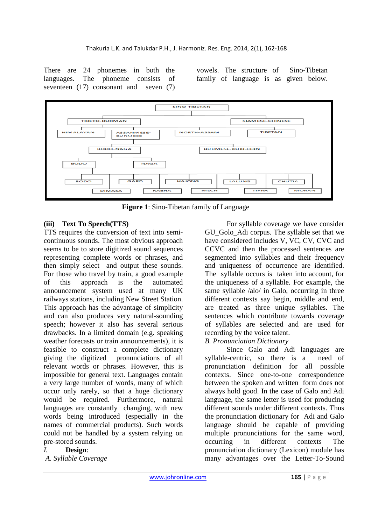There are 24 phonemes in both the languages. The phoneme consists of seventeen (17) consonant and seven (7) vowels. The structure of Sino-Tibetan family of language is as given below.



**Figure 1**: Sino-Tibetan family of Language

## **(iii) Text To Speech(TTS)**

TTS requires the conversion of text into semicontinuous sounds. The most obvious approach seems to be to store digitized sound sequences representing complete words or phrases, and then simply select and output these sounds. For those who travel by train, a good example of this approach is the automated announcement system used at many UK railways stations, including New Street Station. This approach has the advantage of simplicity and can also produces very natural-sounding speech; however it also has several serious drawbacks. In a limited domain (e.g. speaking weather forecasts or train announcements), it is feasible to construct a complete dictionary giving the digitized pronunciations of all relevant words or phrases. However, this is impossible for general text. Languages contain a very large number of words, many of which occur only rarely, so that a huge dictionary would be required. Furthermore, natural languages are constantly changing, with new words being introduced (especially in the names of commercial products). Such words could not be handled by a system relying on pre-stored sounds.

#### *I.* **Design**:

*A. Syllable Coverage* 

For syllable coverage we have consider GU\_Golo\_Adi corpus. The syllable set that we have considered includes V, VC, CV, CVC and CCVC and then the processed sentences are segmented into syllables and their frequency and uniqueness of occurrence are identified. The syllable occurs is taken into account, for the uniqueness of a syllable. For example, the same syllable /alo/ in Galo, occurring in three different contexts say begin, middle and end, are treated as three unique syllables. The sentences which contribute towards coverage of syllables are selected and are used for recording by the voice talent.

#### *B. Pronunciation Dictionary*

Since Galo and Adi languages are syllable-centric, so there is a need of pronunciation definition for all possible contexts. Since one-to-one correspondence between the spoken and written form does not always hold good. In the case of Galo and Adi language, the same letter is used for producing different sounds under different contexts. Thus the pronunciation dictionary for Adi and Galo language should be capable of providing multiple pronunciations for the same word, occurring in different contexts The pronunciation dictionary (Lexicon) module has many advantages over the Letter-To-Sound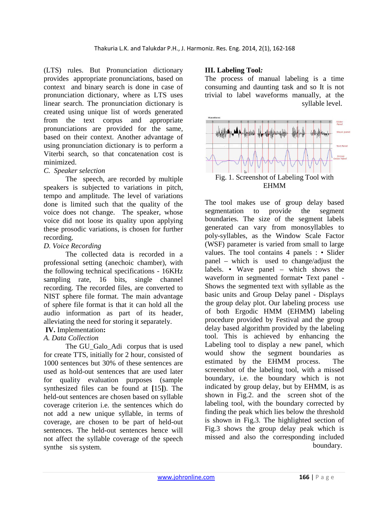(LTS) rules. But Pronunciation dictionary provides appropriate pronunciations, based on context and binary search is done in case of pronunciation dictionary, where as LTS uses linear search. The pronunciation dictionary is created using unique list of words generated from the text corpus and appropriate pronunciations are provided for the same, based on their context. Another advantage of using pronunciation dictionary is to perform a Viterbi search, so that concatenation cost is minimized.

#### *C. Speaker selection*

The speech, are recorded by multiple speakers is subjected to variations in pitch, tempo and amplitude. The level of variations done is limited such that the quality of the voice does not change. The speaker, whose voice did not loose its quality upon applying these prosodic variations, is chosen for further recording.

### *D. Voice Recording*

The collected data is recorded in a professional setting (anechoic chamber), with the following technical specifications - 16KHz sampling rate, 16 bits, single channel recording. The recorded files, are converted to NIST sphere file format. The main advantage of sphere file format is that it can hold all the audio information as part of its header, alleviating the need for storing it separately.

# **IV.** Implementation**:**

## *A. Data Collection*

The GU Galo Adi corpus that is used for create TTS, initially for 2 hour, consisted of 1000 sentences but 30% of these sentences are used as hold-out sentences that are used later for quality evaluation purposes (sample synthesized files can be found at **[**15**]**). The held-out sentences are chosen based on syllable coverage criterion i.e. the sentences which do not add a new unique syllable, in terms of coverage, are chosen to be part of held-out sentences. The held-out sentences hence will not affect the syllable coverage of the speech synthe sis system.

### **III. Labeling Tool***:*

The process of manual labeling is a time consuming and daunting task and so It is not trivial to label waveforms manually, at the syllable level.



The tool makes use of group delay based segmentation to provide the segment boundaries. The size of the segment labels generated can vary from monosyllables to poly-syllables, as the Window Scale Factor (WSF) parameter is varied from small to large values. The tool contains 4 panels : • Slider panel – which is used to change/adjust the labels. • Wave panel – which shows the waveform in segmented format• Text panel - Shows the segmented text with syllable as the basic units and Group Delay panel - Displays the group delay plot. Our labeling process use of both Ergodic HMM (EHMM) labeling procedure provided by Festival and the group delay based algorithm provided by the labeling tool. This is achieved by enhancing the Labeling tool to display a new panel, which would show the segment boundaries as estimated by the EHMM process. The screenshot of the labeling tool, with a missed boundary, i.e. the boundary which is not indicated by group delay, but by EHMM, is as shown in Fig.2. and the screen shot of the labeling tool, with the boundary corrected by finding the peak which lies below the threshold is shown in Fig.3. The highlighted section of Fig.3 shows the group delay peak which is missed and also the corresponding included boundary.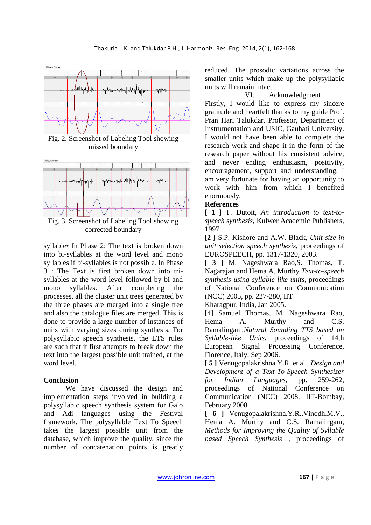

syllable• In Phase 2: The text is broken down into bi-syllables at the word level and mono syllables if bi-syllables is not possible. In Phase 3 : The Text is first broken down into trisyllables at the word level followed by bi and mono syllables. After completing the processes, all the cluster unit trees generated by the three phases are merged into a single tree and also the catalogue files are merged. This is done to provide a large number of instances of units with varying sizes during synthesis. For polysyllabic speech synthesis, the LTS rules are such that it first attempts to break down the text into the largest possible unit trained, at the word level.

#### **Conclusion**

We have discussed the design and implementation steps involved in building a polysyllabic speech synthesis system for Galo and Adi languages using the Festival framework. The polysyllable Text To Speech takes the largest possible unit from the database, which improve the quality, since the number of concatenation points is greatly

reduced. The prosodic variations across the smaller units which make up the polysyllabic units will remain intact.

#### VI. Acknowledgment

Firstly, I would like to express my sincere gratitude and heartfelt thanks to my guide Prof. Pran Hari Talukdar, Professor, Department of Instrumentation and USIC, Gauhati University. I would not have been able to complete the research work and shape it in the form of the research paper without his consistent advice, and never ending enthusiasm, positivity, encouragement, support and understanding. I am very fortunate for having an opportunity to work with him from which I benefited enormously.

### **References**

**[ 1 ]** T. Dutoit, *An introduction to text-tospeech synthesis*, Kulwer Academic Publishers, 1997.

**[2 ]** S.P. Kishore and A.W. Black, *Unit size in unit selection speech synthesis*, proceedings of EUROSPEECH, pp. 1317-1320, 2003.

**[ 3 ]** M. Nageshwara Rao,S. Thomas, T. Nagarajan and Hema A. Murthy *Text-to-speech synthesis using syllable like units*, proceedings of National Conference on Communication (NCC) 2005, pp. 227-280, IIT

Kharagpur, India, Jan 2005.

[4] Samuel Thomas, M. Nageshwara Rao, Hema A. Murthy and C.S. Ramalingam,*Natural Sounding TTS based on Syllable-like Units*, proceedings of 14th European Signal Processing Conference, Florence, Italy, Sep 2006.

**[ 5 ]** Venugopalakrishna.Y.R. et.al., *Design and Development of a Text-To-Speech Synthesizer for Indian Languages*, pp. 259-262, proceedings of National Conference on Communication (NCC) 2008, IIT-Bombay, February 2008.

**[ 6 ]** Venugopalakrishna.Y.R.,Vinodh.M.V., Hema A. Murthy and C.S. Ramalingam, *Methods for Improving the Quality of Syllable based Speech Synthesis* , proceedings of